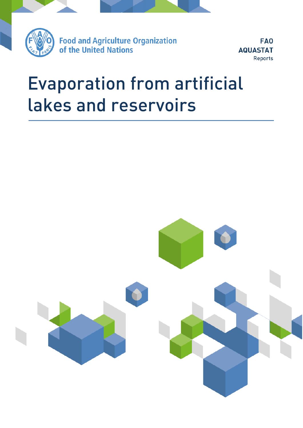

**Food and Agriculture Organization** of the United Nations

**FAO AQUASTAT** Reports

# Evaporation from artificial la kes and reservoirs and reservoirs and reservoirs and reservoirs and reservoirs and

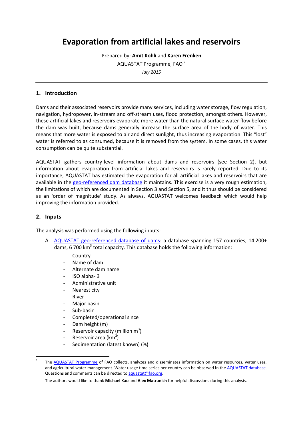# **Evaporation from artificial lakes and reservoirs**

Prepared by: **Amit Kohli** and **Karen Frenken** AQUASTAT Programme, FAO *<sup>1</sup> July 2015*

#### **1. Introduction**

Dams and their associated reservoirs provide many services, including water storage, flow regulation, navigation, hydropower, in-stream and off-stream uses, flood protection, amongst others. However, these artificial lakes and reservoirs evaporate more water than the natural surface water flow before the dam was built, because dams generally increase the surface area of the body of water. This means that more water is exposed to air and direct sunlight, thus increasing evaporation. This "lost" water is referred to as consumed, because it is removed from the system. In some cases, this water consumption can be quite substantial.

AQUASTAT gathers country-level information about dams and reservoirs (see Section 2), but information about evaporation from artificial lakes and reservoirs is rarely reported. Due to its importance, AQUASTAT has estimated the evaporation for all artificial lakes and reservoirs that are available in the [geo-referenced dam database](http://www.fao.org/nr/water/aquastat/dams) it maintains. This exercise is a very rough estimation, the limitations of which are documented in Section 3 and Section 5, and it thus should be considered as an 'order of magnitude' study. As always, AQUASTAT welcomes feedback which would help improving the information provided.

#### **2. Inputs**

1

The analysis was performed using the following inputs:

- A. [AQUASTAT geo-referenced database of dams:](http://www.fao.org/nr/water/aquastat/dams) a database spanning 157 countries, 14 200+ dams, 6 700 km<sup>3</sup> total capacity. This database holds the following information:
	- **Country**
	- Name of dam
	- Alternate dam name
	- ISO alpha- 3
	- Administrative unit
	- Nearest city
	- **River**
	- Major basin
	- Sub-basin
	- Completed/operational since
	- Dam height (m)
	- Reservoir capacity (million  $m^3$ )
	- Reservoir area (km<sup>2</sup>)
	- Sedimentation (latest known) (%)

<sup>1</sup> The [AQUASTAT Programme](http://www.fao.org/nr/aquastat) of FAO collects, analyzes and disseminates information on water resources, water uses, and agricultural water management. Water usage time series per country can be observed in th[e AQUASTAT database.](http://www.fao.org/nr/water/aquastat/data/query/index.html?lang=en) Questions and comments can be directed to aquastat@fao.org.

The authors would like to thank **Michael Kao** and **Alex Matrunich** for helpful discussions during this analysis.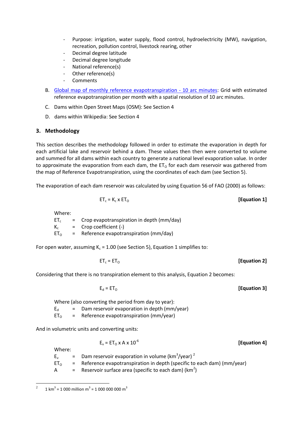- Purpose: irrigation, water supply, flood control, hydroelectricity (MW), navigation, recreation, pollution control, livestock rearing, other
- Decimal degree latitude
- Decimal degree longitude
- National reference(s)
- Other reference(s)
- **Comments**
- B. [Global map of monthly reference evapotranspiration -](http://www.fao.org/geonetwork/srv/en/metadata.show?id=7416&currTab=summary) 10 arc minutes: Grid with estimated reference evapotranspiration per month with a spatial resolution of 10 arc minutes.
- C. Dams within Open Street Maps (OSM): See Section 4
- D. dams within Wikipedia: See Section 4

## **3. Methodology**

This section describes the methodology followed in order to estimate the evaporation in depth for each artificial lake and reservoir behind a dam. These values then then were converted to volume and summed for all dams within each country to generate a national level evaporation value. In order to approximate the evaporation from each dam, the  $ET_0$  for each dam reservoir was gathered from the map of Reference Evapotranspiration, using the coordinates of each dam (see Section 5).

The evaporation of each dam reservoir was calculated by using Equation 56 of FAO (2000) as follows:

$$
ET_c = K_c \times ET_0
$$
 [Equation 1]

Where:

 $ET_c$  = Crop evapotranspiration in depth (mm/day)  $K_c$  = Crop coefficient (-)  $ET<sub>o</sub>$  = Reference evapotranspiration (mm/day)

For open water, assuming  $K_c = 1.00$  (see Section 5), Equation 1 simplifies to:

$$
ET_c = ET_0
$$
 [Equation 2]

Considering that there is no transpiration element to this analysis, Equation 2 becomes:

$$
E_d = ET_O
$$
 [Equation 3]

**[Equation 4]**

Where (also converting the period from day to year):

 $E_d$  = Dam reservoir evaporation in depth (mm/year)

 $ET<sub>o</sub>$  = Reference evapotranspiration (mm/year)

And in volumetric units and converting units:

$$
E_v = ET_0 \times A \times 10^{-6}
$$

Where:

 $E_v$  = Dam reservoir evaporation in volume (km<sup>3</sup>/year)<sup>2</sup>

 $ET<sub>o</sub>$  = Reference evapotranspiration in depth (specific to each dam) (mm/year)

A  $=$  Reservoir surface area (specific to each dam) (km<sup>2</sup>)

 $\frac{1}{2}$ 1 km<sup>3</sup> = 1 000 million m<sup>3</sup> = 1 000 000 000 m<sup>3</sup>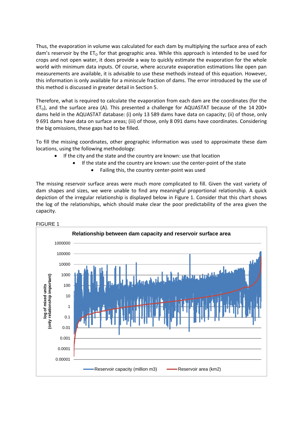Thus, the evaporation in volume was calculated for each dam by multiplying the surface area of each dam's reservoir by the  $ET_0$  for that geographic area. While this approach is intended to be used for crops and not open water, it does provide a way to quickly estimate the evaporation for the whole world with minimum data inputs. Of course, where accurate evaporation estimations like open pan measurements are available, it is advisable to use these methods instead of this equation. However, this information is only available for a miniscule fraction of dams. The error introduced by the use of this method is discussed in greater detail in Section 5.

Therefore, what is required to calculate the evaporation from each dam are the coordinates (for the  $ET<sub>o</sub>$ ), and the surface area (A). This presented a challenge for AQUASTAT because of the 14 200+ dams held in the AQUASTAT database: (i) only 13 589 dams have data on capacity; (ii) of those, only 9 691 dams have data on surface areas; (iii) of those, only 8 091 dams have coordinates. Considering the big omissions, these gaps had to be filled.

To fill the missing coordinates, other geographic information was used to approximate these dam locations, using the following methodology:

- If the city and the state and the country are known: use that location
	- If the state and the country are known: use the center-point of the state
		- Failing this, the country center-point was used

The missing reservoir surface areas were much more complicated to fill. Given the vast variety of dam shapes and sizes, we were unable to find any meaningful proportional relationship. A quick depiction of the irregular relationship is displayed below in Figure 1. Consider that this chart shows the log of the relationships, which should make clear the poor predictability of the area given the capacity.

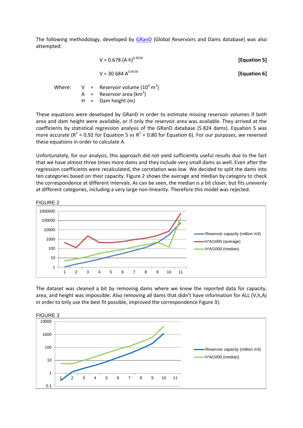The following methodology, developed by [GRanD](http://www.gwsp.org/fileadmin/downloads/GRanD_Technical_Documentation_v1_1.pdf) (Global Reservoirs and Dams database) was also attempted:

|  | V = $0.678$ (A·h) <sup>0.9229</sup>                                                                                                | [Equation 5] |
|--|------------------------------------------------------------------------------------------------------------------------------------|--------------|
|  | $V = 30.684 A^{0.9578}$                                                                                                            | [Equation 6] |
|  | Where: $V =$ Reservoir volume (10 <sup>6</sup> m <sup>3</sup> )<br>$A =$ Reservoir area (km <sup>2</sup> )<br>$H =$ Dam height (m) |              |

These equations were developed by GRanD in order to estimate missing reservoir volumes if both area and dam height were available, or if only the reservoir area was available. They arrived at the coefficients by statistical regression analysis of the GRanD database (5 824 dams). Equation 5 was more accurate ( $R^2$  = 0.92 for Equation 5 vs  $R^2$  = 0.80 for Equation 6). For our purposes, we reversed these equations in order to calculate A.

Unfortunately, for our analysis, this approach did not yield sufficiently useful results due to the fact that we have almost three times more dams and they include very small dams as well. Even after the regression coefficients were recalculated, the correlation was low. We decided to split the dams into ten categories based on their capacity. Figure 2 shows the average and median by category to check the correspondence at different intervals. As can be seen, the median is a bit closer, but fits unevenly at different categories, including a very large non-linearity. Therefore this model was rejected.



The dataset was cleaned a bit by removing dams where we knew the reported data for capacity, area, and height was impossible. Also removing all dams that didn't have information for ALL (V,h,A) in order to only use the best fit possible, improved the correspondence Figure 3).

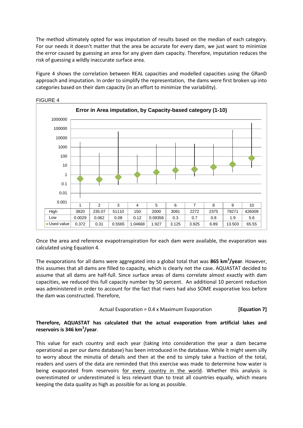The method ultimately opted for was imputation of results based on the median of each category. For our needs it doesn't matter that the area be accurate for every dam, we just want to minimize the error caused by guessing an area for any given dam capacity. Therefore, imputation reduces the risk of guessing a wildly inaccurate surface area.

Figure 4 shows the correlation between REAL capacities and modelled capacities using the GRanD approach and imputation. In order to simplify the representation, the dams were first broken up into categories based on their dam capacity (in an effort to minimize the variability).



FIGURE 4

Once the area and reference evapotranspiration for each dam were available, the evaporation was calculated using Equation 4.

The evaporations for all dams were aggregated into a global total that was **865 km<sup>3</sup> /year**. However, this assumes that all dams are filled to capacity, which is clearly not the case. AQUASTAT decided to assume that all dams are half-full. Since surface areas of dams correlate almost exactly with dam capacities, we reduced this full capacity number by 50 percent. An additional 10 percent reduction was administered in order to account for the fact that rivers had also SOME evaporative loss before the dam was constructed. Therefore,

Actual Evaporation = 0.4 
$$
x
$$
 Maximum Evaporation **[Equation 7]**

#### **Therefore, AQUASTAT has calculated that the actual evaporation from artificial lakes and reservoirs is 346 km<sup>3</sup> /year**.

This value for each country and each year (taking into consideration the year a dam became operational as per our dams database) has been introduced in the database. While it might seem silly to worry about the minutia of details and then at the end to simply take a fraction of the total, readers and users of the data are reminded that this exercise was made to determine how water is being evaporated from reservoirs for every country in the world. Whether this analysis is overestimated or underestimated is less relevant than to treat all countries equally, which means keeping the data quality as high as possible for as long as possible.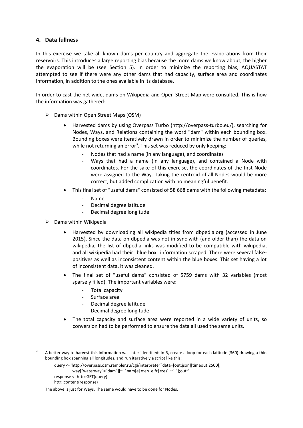#### **4. Data fullness**

In this exercise we take all known dams per country and aggregate the evaporations from their reservoirs. This introduces a large reporting bias because the more dams we know about, the higher the evaporation will be (see Section 5). In order to minimize the reporting bias, AQUASTAT attempted to see if there were any other dams that had capacity, surface area and coordinates information, in addition to the ones available in its database.

In order to cast the net wide, dams on Wikipedia and Open Street Map were consulted. This is how the information was gathered:

- $\triangleright$  Dams within Open Street Maps (OSM)
	- Harvested dams by using Overpass Turbo (http://overpass-turbo.eu/), searching for Nodes, Ways, and Relations containing the word "dam" within each bounding box. Bounding boxes were iteratively drawn in order to minimize the number of queries, while not returning an error<sup>3</sup>. This set was reduced by only keeping:
		- Nodes that had a name (in any language), and coordinates
		- Ways that had a name (in any language), and contained a Node with coordinates. For the sake of this exercise, the coordinates of the first Node were assigned to the Way. Taking the centroid of all Nodes would be more correct, but added complication with no meaningful benefit.
	- This final set of "useful dams" consisted of 58 668 dams with the following metadata:
		- Name
		- Decimal degree latitude
		- Decimal degree longitude
- $\triangleright$  Dams within Wikipedia
	- Harvested by downloading all wikipedia titles from dbpedia.org (accessed in June 2015). Since the data on dbpedia was not in sync with (and older than) the data on wikipedia, the list of dbpedia links was modified to be compatible with wikipedia, and all wikipedia had their "blue box" information scraped. There were several falsepositives as well as inconsistent content within the blue boxes. This set having a lot of inconsistent data, it was cleaned.
	- The final set of "useful dams" consisted of 5759 dams with 32 variables (most sparsely filled). The important variables were:
		- Total capacity
		- Surface area
		- Decimal degree latitude
		- Decimal degree longitude
	- The total capacity and surface area were reported in a wide variety of units, so conversion had to be performed to ensure the data all used the same units.

response <- httr::GET(query)

1

<sup>3</sup> A better way to harvest this information was later identified: In R, create a loop for each latitude (360) drawing a thin bounding box spanning all longitudes, and run iteratively a script like this:

query <- 'http://overpass.osm.rambler.ru/cgi/interpreter?data=[out:json][timeout:2500]; way["waterway"="dam"][~"^nam[e|e:en|e:fr|e:es]"~"."];out;'

httr::content(response)

The above is just for Ways. The same would have to be done for Nodes.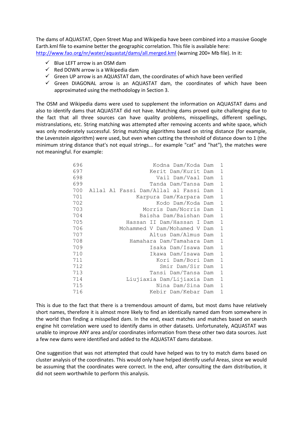The dams of AQUASTAT, Open Street Map and Wikipedia have been combined into a massive Google Earth.kml file to examine better the geographic correlation. This file is available here: <http://www.fao.org/nr/water/aquastat/dams/all.merged.kml> (warning 200+ Mb file). In it:

- $\checkmark$  Blue LEFT arrow is an OSM dam
- $\checkmark$  Red DOWN arrow is a Wikipedia dam
- $\checkmark$  Green UP arrow is an AQUASTAT dam, the coordinates of which have been verified
- $\checkmark$  Green DIAGONAL arrow is an AQUASTAT dam, the coordinates of which have been approximated using the methodology in Section 3.

The OSM and Wikipedia dams were used to supplement the information on AQUASTAT dams and also to identify dams that AQUASTAT did not have. Matching dams proved quite challenging due to the fact that all three sources can have quality problems, misspellings, different spellings, mistranslations, etc. String matching was attempted after removing accents and white space, which was only moderately successful. String matching algorithms based on string distance (for example, the Levenstein algorithm) were used, but even when cutting the threshold of distance down to 1 (the minimum string distance that's not equal strings... for example "cat" and "hat"), the matches were not meaningful. For example:

| 696 | Kodna Dam/Koda Dam                    | 1              |
|-----|---------------------------------------|----------------|
| 697 | Kerit Dam/Kurit Dam                   | $\mathbf{1}$   |
| 698 | Vail Dam/Vaal Dam                     | $\overline{1}$ |
| 699 | Tanda Dam/Tansa Dam                   | $\mathbf{1}$   |
| 700 | Allal Al Fassi Dam/Allal al Fassi Dam | $\mathbf{1}$   |
| 701 | Karpura Dam/Karpara Dam               | $\mathbf{1}$   |
| 702 | Kodo Dam/Koda Dam                     | $\mathbf{1}$   |
| 703 | Morris Dam/Norris Dam                 | $\mathbf{1}$   |
| 704 | Baisha Dam/Baishan Dam                | $\mathbf{1}$   |
| 705 | Hassan II Dam/Hassan I Dam            | $\mathbf{1}$   |
| 706 | Mohammed V Dam/Mohamed V Dam          | $\mathbf{1}$   |
| 707 | Altus Dam/Almus Dam                   | $\mathbf{1}$   |
| 708 | Hamahara Dam/Tamahara Dam             | $\mathbf{1}$   |
| 709 | Isaka Dam/Isawa Dam                   | $\mathbf{1}$   |
| 710 | Ikawa Dam/Isawa Dam                   | $\mathbf{1}$   |
| 711 | Kori Dam/Bori Dam                     | $\mathbf{1}$   |
| 712 | Smir Dam/Sir Dam                      | $\mathbf{1}$   |
| 713 | Tansi Dam/Tansa Dam                   | $\mathbf{1}$   |
| 714 | Liujiaxia Dam/Lijiaxia Dam            | $\mathbf{1}$   |
| 715 | Nina Dam/Sina Dam                     | $\mathbf{1}$   |
| 716 | Kebir Dam/Kebar Dam                   | $\mathbf{1}$   |

This is due to the fact that there is a tremendous amount of dams, but most dams have relatively short names, therefore it is almost more likely to find an identically named dam from somewhere in the world than finding a misspelled dam. In the end, exact matches and matches based on search engine hit correlation were used to identify dams in other datasets. Unfortunately, AQUASTAT was unable to improve ANY area and/or coordinates information from these other two data sources. Just a few new dams were identified and added to the AQUASTAT dams database.

One suggestion that was not attempted that could have helped was to try to match dams based on cluster analysis of the coordinates. This would only have helped identify useful Areas, since we would be assuming that the coordinates were correct. In the end, after consulting the dam distribution, it did not seem worthwhile to perform this analysis.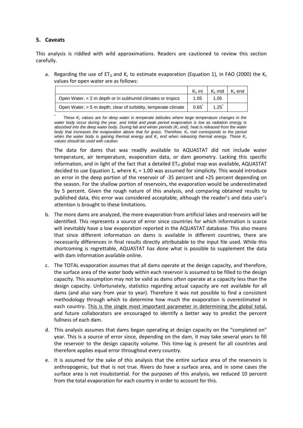### **5. Caveats**

This analysis is riddled with wild approximations. Readers are cautioned to review this section carefully.

a. Regarding the use of  $ET_0$  and K<sub>c</sub> to estimate evaporation (Equation 1), in FAO (2000) the K<sub>c</sub> values for open water are as follows:

|                                                                | $K_c$ ini | $Kc$ mid | $K_c$ end |
|----------------------------------------------------------------|-----------|----------|-----------|
| Open Water, < 2 m depth or in subhumid climates or tropics     | 1.05      | 1.05     |           |
| Open Water, > 5 m depth, clear of turbidity, temperate climate | 0.65      | 1.25     |           |

*\* These K<sup>c</sup> values are for deep water in temperate latitudes where large temperature changes in the water body occur during the year, and initial and peak period evaporation is low as radiation energy is absorbed into the deep water body. During fall and winter periods (K<sup>c</sup> end), heat is released from the water body that increases the evaporation above that for grass. Therefore, K<sup>c</sup> mid corresponds to the period when the water body is gaining thermal energy and K<sup>c</sup> end when releasing thermal energy. These K<sup>c</sup> values should be used with caution.*

The data for dams that was readily available to AQUASTAT did not include water temperature, air temperature, evaporation data, or dam geometry. Lacking this specific information, and in light of the fact that a detailed  $ET_0$  global map was available, AQUASTAT decided to use Equation 1, where  $K_c = 1.00$  was assumed for simplicity. This would introduce an error in the deep portion of the reservoir of -35 percent and +25 percent depending on the season. For the shallow portion of reservoirs, the evaporation would be underestimated by 5 percent. Given the rough nature of this analysis, and comparing obtained results to published data, this error was considered acceptable, although the reader's and data user's attention is brought to these limitations.

- b. The more dams are analyzed, the more evaporation from artificial lakes and reservoirs will be identified. This represents a source of error since countries for which information is scarce will inevitably have a low evaporation reported in the AQUASTAT database. This also means that since different information on dams is available in different countries, there are necessarily differences in final results directly attributable to the input file used. While this shortcoming is regrettable, AQUASTAT has done what is possible to supplement the data with dam information available online.
- c. The TOTAL evaporation assumes that all dams operate at the design capacity, and therefore, the surface area of the water body within each reservoir is assumed to be filled to the design capacity. This assumption may not be valid as dams often operate at a capacity less than the design capacity. Unfortunately, statistics regarding actual capacity are not available for all dams (and also vary from year to year). Therefore it was not possible to find a consistent methodology through which to determine how much the evaporation is overestimated in each country. This is the single most important parameter in determining the global total, and future collaborators are encouraged to identify a better way to predict the percent fullness of each dam.
- d. This analysis assumes that dams began operating at design capacity on the "completed on" year. This is a source of error since, depending on the dam, it may take several years to fill the reservoir to the design capacity volume. This time-lag is present for all countries and therefore applies equal error throughout every country.
- e. It is assumed for the sake of this analysis that the entire surface area of the reservoirs is anthropogenic, but that is not true. Rivers do have a surface area, and in some cases the surface area is not insubstantial. For the purposes of this analysis, we reduced 10 percent from the total evaporation for each country in order to account for this.